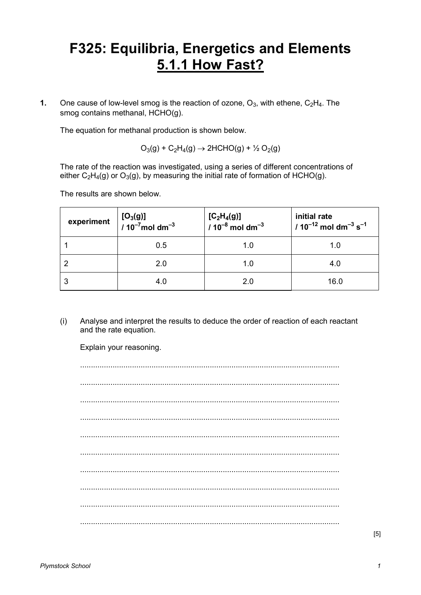## **F325: Equilibria, Energetics and Elements 5.1.1 How Fast?**

**1.** One cause of low-level smog is the reaction of ozone,  $O_3$ , with ethene,  $C_2H_4$ . The smog contains methanal, HCHO(g).

The equation for methanal production is shown below.

 $O_3(g) + C_2H_4(g) \rightarrow 2HCHO(g) + \frac{1}{2}O_2(g)$ 

 The rate of the reaction was investigated, using a series of different concentrations of either  $C_2H_4(q)$  or  $O_3(q)$ , by measuring the initial rate of formation of HCHO(g).

The results are shown below.

| experiment | $[O_3(g)]$<br>/ 10 <sup>-7</sup> mol dm <sup>-3</sup> | $[C_2H_4(g)]$<br>/ 10 <sup>-8</sup> mol dm <sup>-3</sup> | initial rate<br>$/10^{-12}$ mol dm <sup>-3</sup> s <sup>-1</sup> |
|------------|-------------------------------------------------------|----------------------------------------------------------|------------------------------------------------------------------|
|            | 0.5                                                   | 1.0                                                      | 1.0                                                              |
|            | 2.0                                                   | 1.0                                                      | 4.0                                                              |
|            | 4.0                                                   | 2.0                                                      | 16.0                                                             |

(i) Analyse and interpret the results to deduce the order of reaction of each reactant and the rate equation.

Explain your reasoning.

........................................................................................................................ ........................................................................................................................ ........................................................................................................................ ........................................................................................................................ ........................................................................................................................ ........................................................................................................................ ........................................................................................................................ ........................................................................................................................ ........................................................................................................................ ........................................................................................................................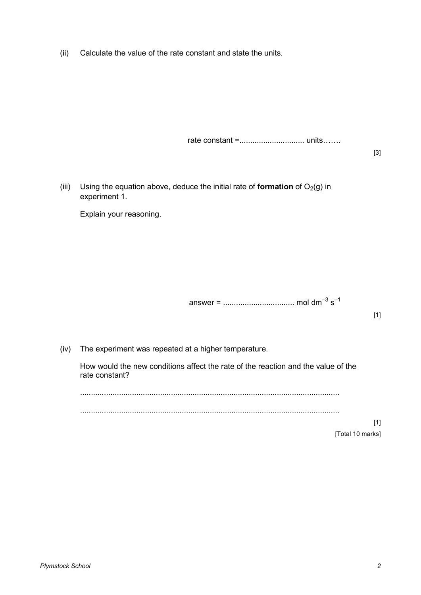(ii) Calculate the value of the rate constant and state the units.

rate constant =.............................. units11.

[3]

(iii) Using the equation above, deduce the initial rate of **formation** of  $O_2(g)$  in experiment 1.

Explain your reasoning.

answer = ................................. mol dm–3 s–1

[1]

(iv) The experiment was repeated at a higher temperature.

 How would the new conditions affect the rate of the reaction and the value of the rate constant?

........................................................................................................................

........................................................................................................................

[1] [Total 10 marks]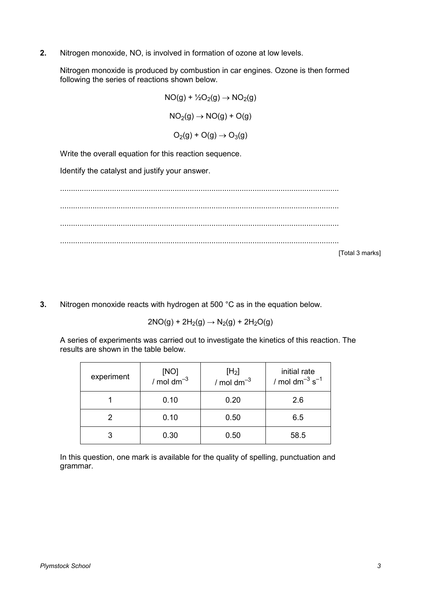**2.** Nitrogen monoxide, NO, is involved in formation of ozone at low levels.

 Nitrogen monoxide is produced by combustion in car engines. Ozone is then formed following the series of reactions shown below.

> $NO(q) + \frac{1}{2}O_2(q) \rightarrow NO_2(q)$  $NO<sub>2</sub>(q) \rightarrow NO(q) + O(q)$  $O<sub>2</sub>(g) + O(g) \rightarrow O<sub>3</sub>(g)$

Write the overall equation for this reaction sequence.

Identify the catalyst and justify your answer.

................................................................................................................................. ................................................................................................................................. ................................................................................................................................. ................................................................................................................................. [Total 3 marks]

**3.** Nitrogen monoxide reacts with hydrogen at 500 °C as in the equation below.

$$
2NO(g) + 2H_2(g) \rightarrow N_2(g) + 2H_2O(g)
$$

 A series of experiments was carried out to investigate the kinetics of this reaction. The results are shown in the table below.

| experiment | [NO]<br>/ mol dm <sup>-3</sup> | [H <sub>2</sub> ]<br>$/mol dm^{-3}$ | initial rate<br>/ mol dm <sup>-3</sup> $s^{-1}$ |
|------------|--------------------------------|-------------------------------------|-------------------------------------------------|
|            | 0.10                           | 0.20                                | 2.6                                             |
|            | 0.10                           | 0.50                                | 6.5                                             |
|            | 0.30                           | 0.50                                | 58.5                                            |

 In this question, one mark is available for the quality of spelling, punctuation and grammar.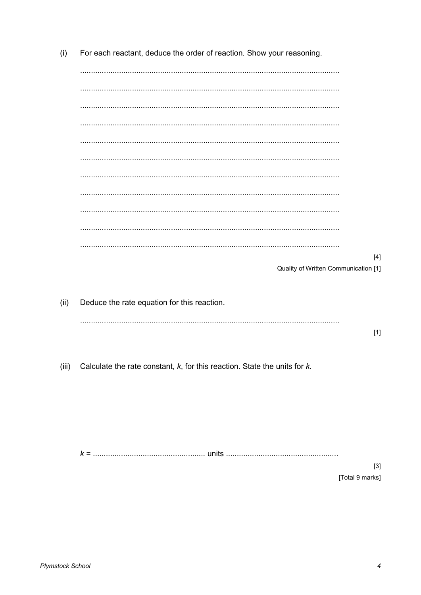| (i)  | For each reactant, deduce the order of reaction. Show your reasoning.                 |       |
|------|---------------------------------------------------------------------------------------|-------|
|      |                                                                                       |       |
|      |                                                                                       |       |
|      |                                                                                       |       |
|      |                                                                                       |       |
|      |                                                                                       |       |
|      |                                                                                       |       |
|      |                                                                                       |       |
|      |                                                                                       |       |
|      |                                                                                       |       |
|      |                                                                                       |       |
|      |                                                                                       |       |
|      |                                                                                       |       |
|      | Quality of Written Communication [1]                                                  | $[4]$ |
|      |                                                                                       |       |
| (ii) | Deduce the rate equation for this reaction.                                           |       |
|      |                                                                                       |       |
|      |                                                                                       | $[1]$ |
|      |                                                                                       |       |
|      | (iii) Calculate the rate constant, $k$ , for this reaction. State the units for $k$ . |       |
|      |                                                                                       |       |
|      |                                                                                       |       |
|      |                                                                                       |       |
|      |                                                                                       |       |
|      |                                                                                       |       |
|      |                                                                                       |       |

 $[3]$ [Total 9 marks]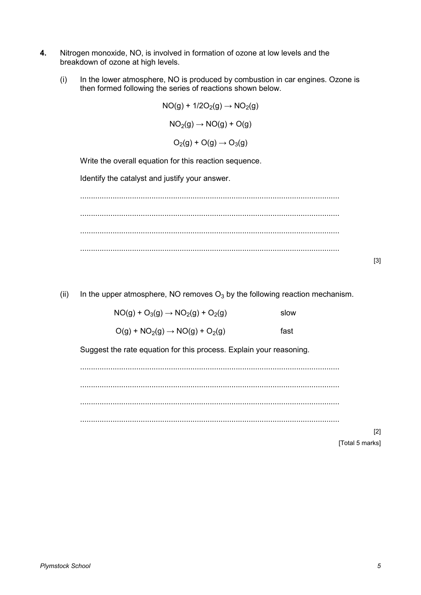- **4.** Nitrogen monoxide, NO, is involved in formation of ozone at low levels and the breakdown of ozone at high levels.
	- (i) In the lower atmosphere, NO is produced by combustion in car engines. Ozone is then formed following the series of reactions shown below.

 $NO(g) + 1/2O_2(g) \rightarrow NO_2(g)$  $NO<sub>2</sub>(q) \rightarrow NO(q) + O(q)$  $O_2(g) + O(g) \rightarrow O_3(g)$ 

Write the overall equation for this reaction sequence.

Identify the catalyst and justify your answer.

........................................................................................................................ ........................................................................................................................ ........................................................................................................................ ........................................................................................................................

(ii) In the upper atmosphere, NO removes  $O_3$  by the following reaction mechanism.

| $NO(g) + O_3(g) \rightarrow NO_2(g) + O_2(g)$ | slow |
|-----------------------------------------------|------|
|-----------------------------------------------|------|

 $O(g) + NO_2(g) \rightarrow NO(g) + O_2(g)$  fast

Suggest the rate equation for this process. Explain your reasoning.

........................................................................................................................ ........................................................................................................................ ........................................................................................................................ ........................................................................................................................

> [2] [Total 5 marks]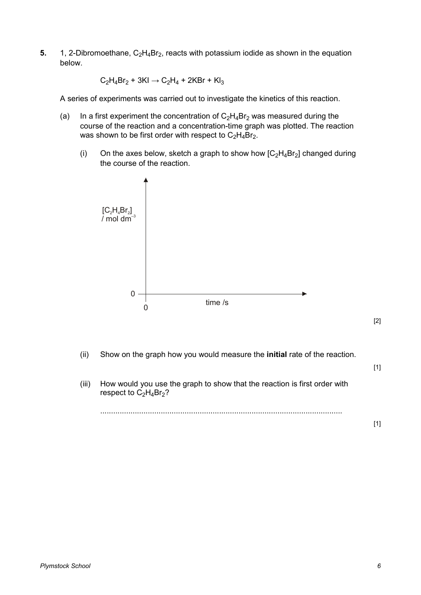**5.** 1, 2-Dibromoethane,  $C_2H_4Br_2$ , reacts with potassium iodide as shown in the equation below.

 $C_2H_4Br_2 + 3KI \rightarrow C_2H_4 + 2KBr + Kl_3$ 

A series of experiments was carried out to investigate the kinetics of this reaction.

- (a) In a first experiment the concentration of  $C_2H_4Br_2$  was measured during the course of the reaction and a concentration-time graph was plotted. The reaction was shown to be first order with respect to  $C_2H_4Br_2$ .
	- (i) On the axes below, sketch a graph to show how  $[C<sub>2</sub>H<sub>4</sub>Br<sub>2</sub>]$  changed during the course of the reaction.



(ii) Show on the graph how you would measure the **initial** rate of the reaction.

[1]

[2]

(iii) How would you use the graph to show that the reaction is first order with respect to  $C_2H_4Br_2$ ?

................................................................................................................

[1]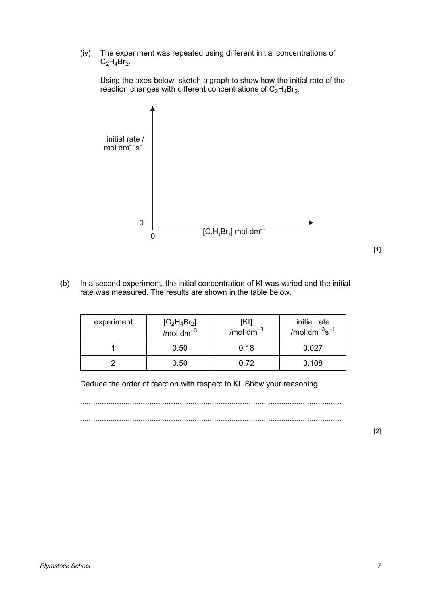(iv) The experiment was repeated using different initial concentrations of  $C_2H_4Br_2$ .

 Using the axes below, sketch a graph to show how the initial rate of the reaction changes with different concentrations of  $C_2H_4Br_2$ .



- [1]
- (b) In a second experiment, the initial concentration of KI was varied and the initial rate was measured. The results are shown in the table below.

| experiment | $[C_2H_4Br_2]$<br>/mol $dm^{-3}$ | [KI]<br>$/mol dm^{-3}$ | initial rate<br>/mol dm $^{-3}$ s $^{-1}$ |  |
|------------|----------------------------------|------------------------|-------------------------------------------|--|
|            | 0.50                             | 0.18                   | 0.027                                     |  |
|            | 0.50                             | 0.72                   | 0.108                                     |  |

Deduce the order of reaction with respect to KI. Show your reasoning.

.........................................................................................................................

.........................................................................................................................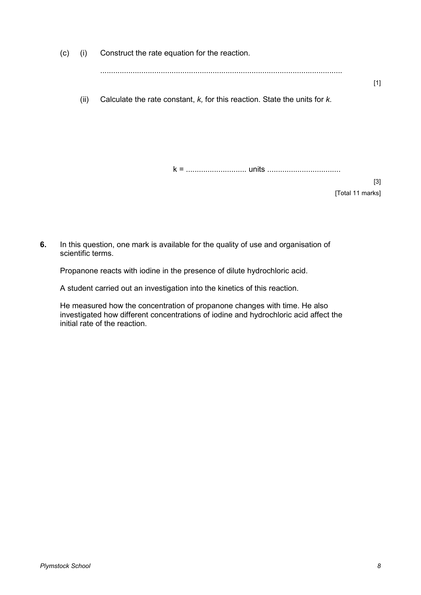| (c) | (i)  | Construct the rate equation for the reaction.                                   |  |
|-----|------|---------------------------------------------------------------------------------|--|
|     |      | $[1]$                                                                           |  |
|     | (ii) | Calculate the rate constant, $k$ , for this reaction. State the units for $k$ . |  |
|     |      |                                                                                 |  |
|     |      |                                                                                 |  |
|     |      |                                                                                 |  |
|     |      | $[3]$                                                                           |  |
|     |      | [Total 11 marks]                                                                |  |

**6.** In this question, one mark is available for the quality of use and organisation of scientific terms.

Propanone reacts with iodine in the presence of dilute hydrochloric acid.

A student carried out an investigation into the kinetics of this reaction.

 He measured how the concentration of propanone changes with time. He also investigated how different concentrations of iodine and hydrochloric acid affect the initial rate of the reaction.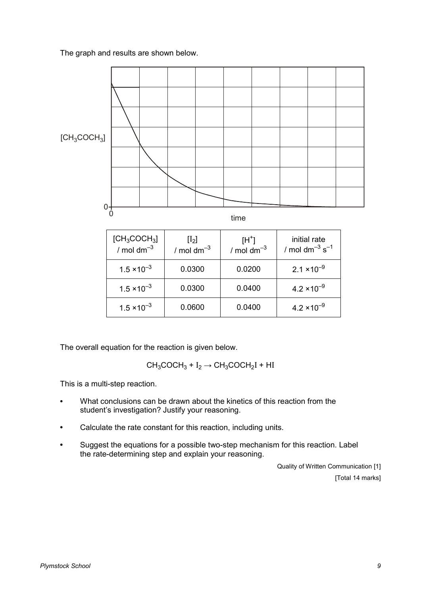The graph and results are shown below.



The overall equation for the reaction is given below.

 $CH_3COCH_3 + I_2 \rightarrow CH_3COCH_2I + HI$ 

This is a multi-step reaction.

- **•** What conclusions can be drawn about the kinetics of this reaction from the student's investigation? Justify your reasoning.
- **•** Calculate the rate constant for this reaction, including units.
- **•** Suggest the equations for a possible two-step mechanism for this reaction. Label the rate-determining step and explain your reasoning.

Quality of Written Communication [1] [Total 14 marks]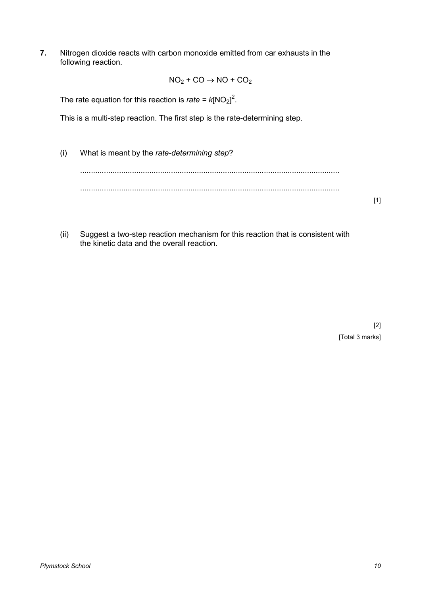**7.** Nitrogen dioxide reacts with carbon monoxide emitted from car exhausts in the following reaction.

$$
NO_2 + CO \rightarrow NO + CO_2
$$

The rate equation for this reaction is *rate* =  $k[NO<sub>2</sub>]$ <sup>2</sup>.

This is a multi-step reaction. The first step is the rate-determining step.

- (i) What is meant by the *rate-determining step*? ........................................................................................................................ ........................................................................................................................ [1]
- (ii) Suggest a two-step reaction mechanism for this reaction that is consistent with the kinetic data and the overall reaction.

[2] [Total 3 marks]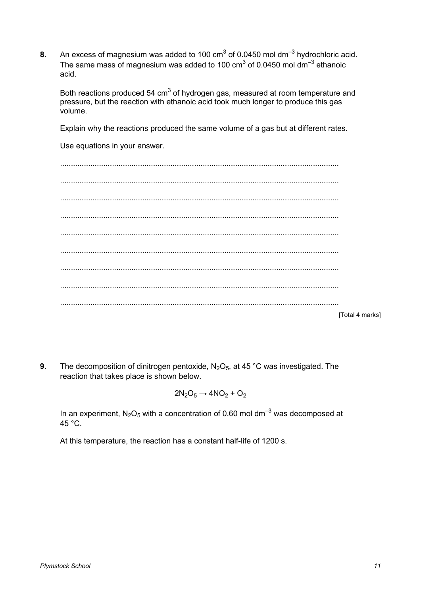**8.** An excess of magnesium was added to 100  $\text{cm}^3$  of 0.0450 mol dm<sup>-3</sup> hydrochloric acid. The same mass of magnesium was added to 100 cm<sup>3</sup> of 0.0450 mol dm<sup>-3</sup> ethanoic acid.

Both reactions produced 54 cm<sup>3</sup> of hydrogen gas, measured at room temperature and pressure, but the reaction with ethanoic acid took much longer to produce this gas volume.

Explain why the reactions produced the same volume of a gas but at different rates.

Use equations in your answer.

................................................................................................................................. ................................................................................................................................. ................................................................................................................................. ................................................................................................................................. ................................................................................................................................. ................................................................................................................................. ................................................................................................................................. ................................................................................................................................. ................................................................................................................................. [Total 4 marks]

**9.** The decomposition of dinitrogen pentoxide, N<sub>2</sub>O<sub>5</sub>, at 45 °C was investigated. The reaction that takes place is shown below.

$$
2N_2O_5\rightarrow 4NO_2+O_2
$$

In an experiment,  $N_2O_5$  with a concentration of 0.60 mol dm<sup>-3</sup> was decomposed at 45 $^{\circ}$ C.

At this temperature, the reaction has a constant half-life of 1200 s.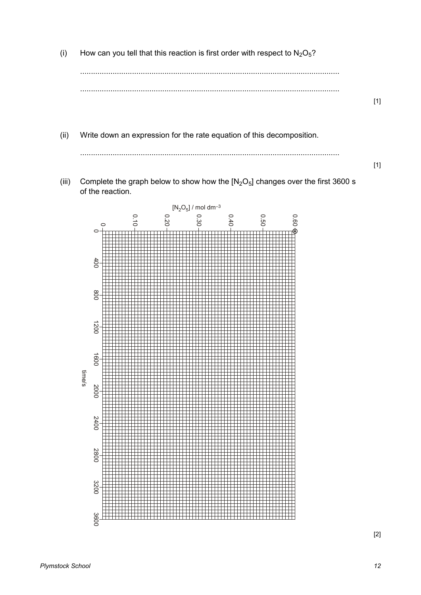(i) How can you tell that this reaction is first order with respect to  $N_2O_5$ ?

........................................................................................................................ ........................................................................................................................

(ii) Write down an expression for the rate equation of this decomposition.

........................................................................................................................

[1]

[1]

(iii) Complete the graph below to show how the  $[N_2O_5]$  changes over the first 3600 s of the reaction.



[2]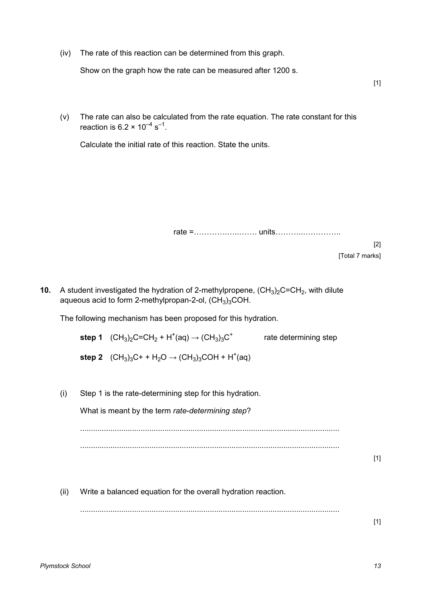(iv) The rate of this reaction can be determined from this graph.

Show on the graph how the rate can be measured after 1200 s.

(v) The rate can also be calculated from the rate equation. The rate constant for this reaction is  $6.2 \times 10^{-4} \text{ s}^{-1}$ .

Calculate the initial rate of this reaction. State the units.

rate =1111.1..11. units111..1.111..

[2] [Total 7 marks]

[1]

**10.** A student investigated the hydration of 2-methylpropene,  $(CH_3)_2C=CH_2$ , with dilute aqueous acid to form 2-methylpropan-2-ol,  $(CH<sub>3</sub>)<sub>3</sub>COH.$ 

The following mechanism has been proposed for this hydration.

| step 1 $(CH_3)_2C=CH_2 + H^+(aq) \rightarrow (CH_3)_3C^+$                                                       | rate determining step |
|-----------------------------------------------------------------------------------------------------------------|-----------------------|
| step 2 $(CH_3)_3C$ + + H <sub>2</sub> O $\rightarrow$ (CH <sub>3</sub> ) <sub>3</sub> COH + H <sup>+</sup> (aq) |                       |

(i) Step 1 is the rate-determining step for this hydration.

What is meant by the term *rate-determining step*?

........................................................................................................................

........................................................................................................................

[1]

(ii) Write a balanced equation for the overall hydration reaction.

........................................................................................................................

 $[1]$